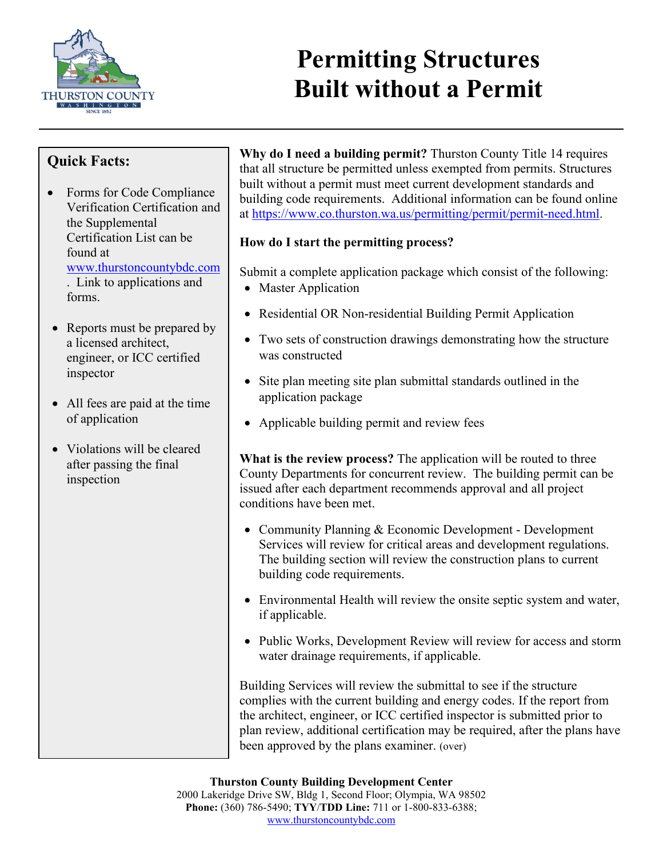

## **Permitting Structures Built without a Permit**

## **Quick Facts:**

- Forms for Code Compliance Verification Certification and the Supplemental Certification List can be found at [www.thurstoncountybdc.com](http://www.thurstoncountybdc.com/) . Link to applications and forms.
- Reports must be prepared by a licensed architect, engineer, or ICC certified inspector
- All fees are paid at the time of application
- Violations will be cleared after passing the final inspection

**Why do I need a building permit?** Thurston County Title 14 requires that all structure be permitted unless exempted from permits. Structures built without a permit must meet current development standards and building code requirements. Additional information can be found online at [https://www.co.thurston.wa.us/permitting/permit/permit-need.html.](https://www.co.thurston.wa.us/permitting/permit/permit-need.html)

## **How do I start the permitting process?**

Submit a complete application package which consist of the following:

- Master Application
- Residential OR Non-residential Building Permit Application
- Two sets of construction drawings demonstrating how the structure was constructed
- Site plan meeting site plan submittal standards outlined in the application package
- Applicable building permit and review fees

**What is the review process?** The application will be routed to three County Departments for concurrent review. The building permit can be issued after each department recommends approval and all project conditions have been met.

- Community Planning & Economic Development Development Services will review for critical areas and development regulations. The building section will review the construction plans to current building code requirements.
- Environmental Health will review the onsite septic system and water, if applicable.
- Public Works, Development Review will review for access and storm water drainage requirements, if applicable.

Building Services will review the submittal to see if the structure complies with the current building and energy codes. If the report from the architect, engineer, or ICC certified inspector is submitted prior to plan review, additional certification may be required, after the plans have been approved by the plans examiner. (over)